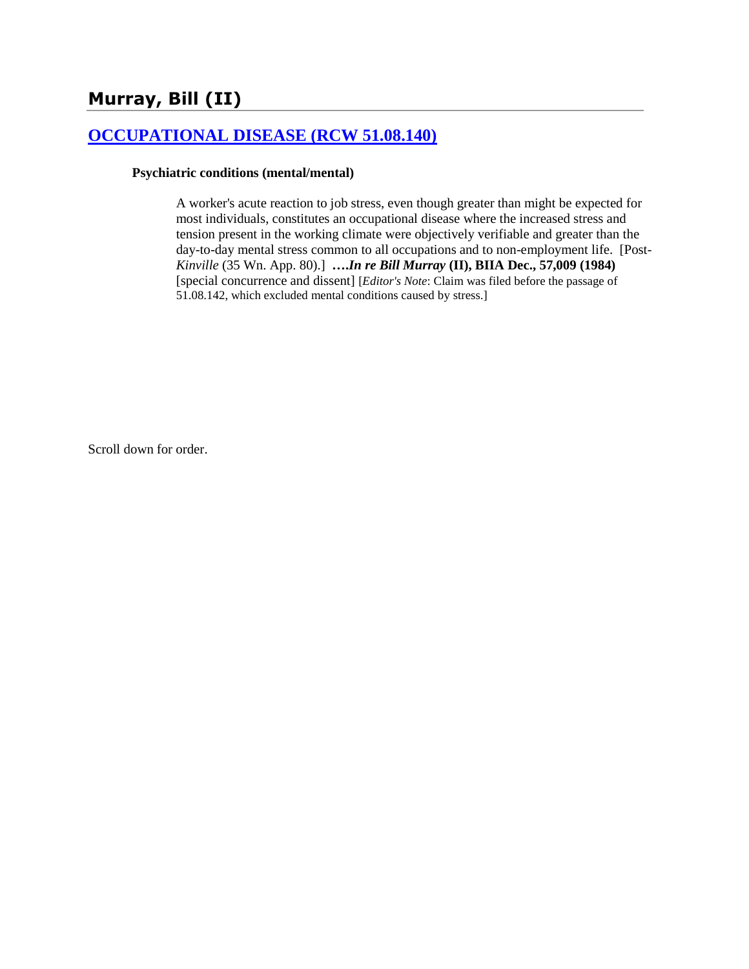# **Murray, Bill (II)**

### **[OCCUPATIONAL DISEASE \(RCW 51.08.140\)](http://www.biia.wa.gov/SDSubjectIndex.html#OCCUPATIONAL_DISEASE)**

#### **Psychiatric conditions (mental/mental)**

A worker's acute reaction to job stress, even though greater than might be expected for most individuals, constitutes an occupational disease where the increased stress and tension present in the working climate were objectively verifiable and greater than the day-to-day mental stress common to all occupations and to non-employment life. [Post-*Kinville* (35 Wn. App. 80).] **….***In re Bill Murray* **(II), BIIA Dec., 57,009 (1984)**  [special concurrence and dissent] [*Editor's Note*: Claim was filed before the passage of 51.08.142, which excluded mental conditions caused by stress.]

Scroll down for order.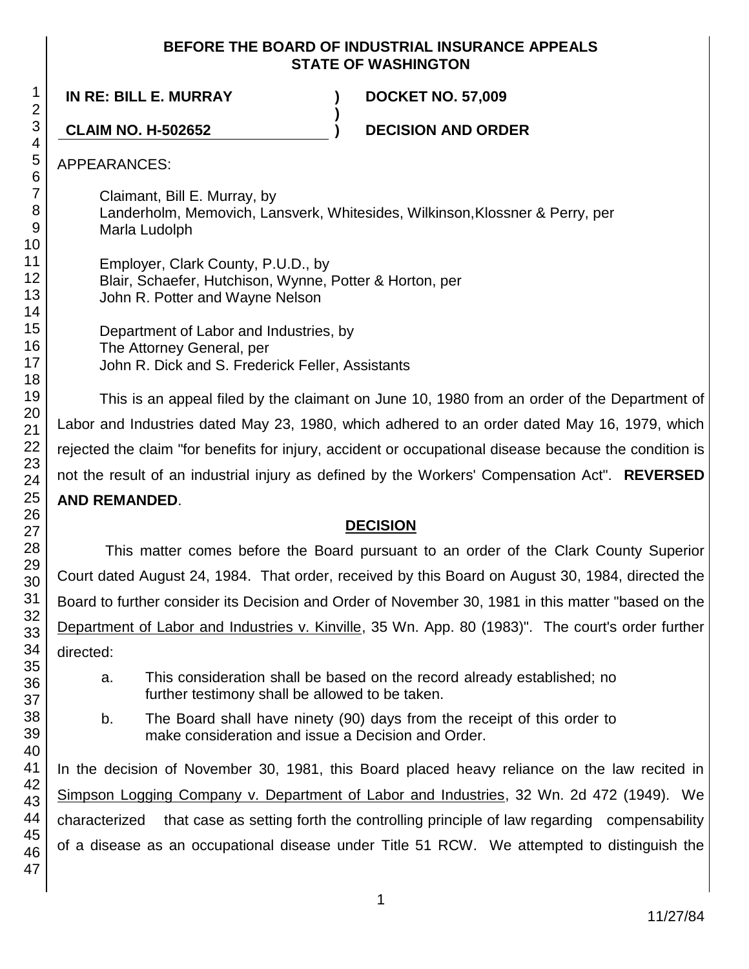#### **BEFORE THE BOARD OF INDUSTRIAL INSURANCE APPEALS STATE OF WASHINGTON**

**IN RE: BILL E. MURRAY ) DOCKET NO. 57,009**

**CLAIM NO. H-502652 ) DECISION AND ORDER**

APPEARANCES:

Claimant, Bill E. Murray, by Landerholm, Memovich, Lansverk, Whitesides, Wilkinson,Klossner & Perry, per Marla Ludolph

**)**

Employer, Clark County, P.U.D., by Blair, Schaefer, Hutchison, Wynne, Potter & Horton, per John R. Potter and Wayne Nelson

Department of Labor and Industries, by The Attorney General, per John R. Dick and S. Frederick Feller, Assistants

This is an appeal filed by the claimant on June 10, 1980 from an order of the Department of Labor and Industries dated May 23, 1980, which adhered to an order dated May 16, 1979, which rejected the claim "for benefits for injury, accident or occupational disease because the condition is not the result of an industrial injury as defined by the Workers' Compensation Act". **REVERSED AND REMANDED**.

### **DECISION**

This matter comes before the Board pursuant to an order of the Clark County Superior Court dated August 24, 1984. That order, received by this Board on August 30, 1984, directed the Board to further consider its Decision and Order of November 30, 1981 in this matter "based on the Department of Labor and Industries v. Kinville, 35 Wn. App. 80 (1983)". The court's order further directed:

- a. This consideration shall be based on the record already established; no further testimony shall be allowed to be taken.
- b. The Board shall have ninety (90) days from the receipt of this order to make consideration and issue a Decision and Order.

In the decision of November 30, 1981, this Board placed heavy reliance on the law recited in Simpson Logging Company v. Department of Labor and Industries, 32 Wn. 2d 472 (1949). We characterized that case as setting forth the controlling principle of law regarding compensability of a disease as an occupational disease under Title 51 RCW. We attempted to distinguish the

1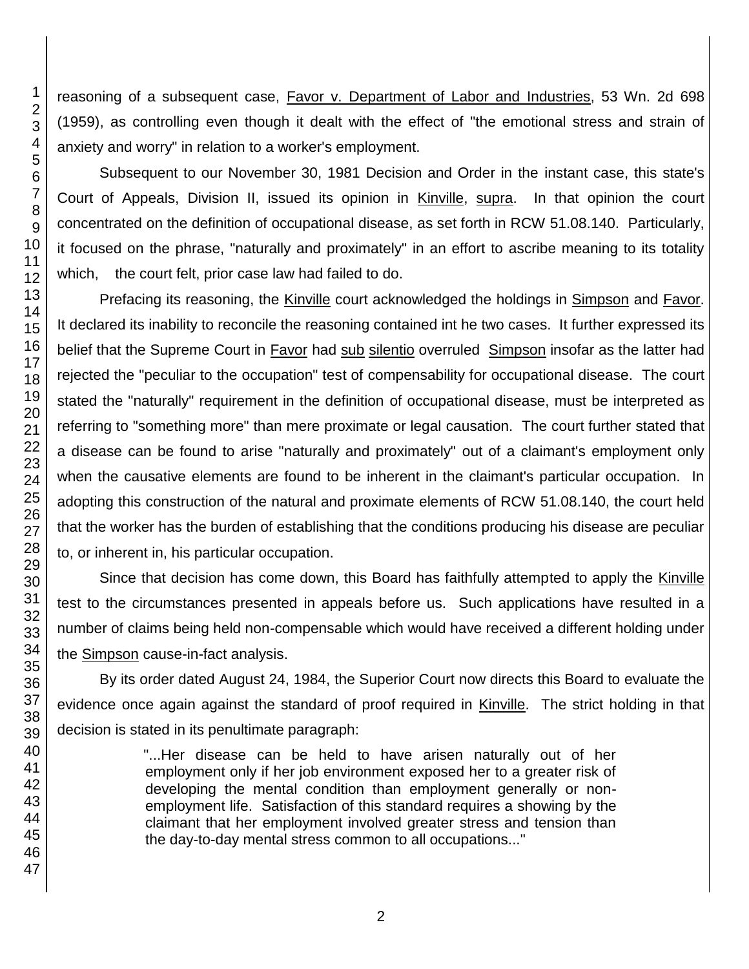reasoning of a subsequent case, Favor v. Department of Labor and Industries, 53 Wn. 2d 698 (1959), as controlling even though it dealt with the effect of "the emotional stress and strain of anxiety and worry" in relation to a worker's employment.

Subsequent to our November 30, 1981 Decision and Order in the instant case, this state's Court of Appeals, Division II, issued its opinion in Kinville, supra. In that opinion the court concentrated on the definition of occupational disease, as set forth in RCW 51.08.140. Particularly, it focused on the phrase, "naturally and proximately" in an effort to ascribe meaning to its totality which, the court felt, prior case law had failed to do.

Prefacing its reasoning, the Kinville court acknowledged the holdings in Simpson and Favor. It declared its inability to reconcile the reasoning contained int he two cases. It further expressed its belief that the Supreme Court in Favor had sub silentio overruled Simpson insofar as the latter had rejected the "peculiar to the occupation" test of compensability for occupational disease. The court stated the "naturally" requirement in the definition of occupational disease, must be interpreted as referring to "something more" than mere proximate or legal causation. The court further stated that a disease can be found to arise "naturally and proximately" out of a claimant's employment only when the causative elements are found to be inherent in the claimant's particular occupation. In adopting this construction of the natural and proximate elements of RCW 51.08.140, the court held that the worker has the burden of establishing that the conditions producing his disease are peculiar to, or inherent in, his particular occupation.

Since that decision has come down, this Board has faithfully attempted to apply the Kinville test to the circumstances presented in appeals before us. Such applications have resulted in a number of claims being held non-compensable which would have received a different holding under the Simpson cause-in-fact analysis.

By its order dated August 24, 1984, the Superior Court now directs this Board to evaluate the evidence once again against the standard of proof required in Kinville. The strict holding in that decision is stated in its penultimate paragraph:

> "...Her disease can be held to have arisen naturally out of her employment only if her job environment exposed her to a greater risk of developing the mental condition than employment generally or nonemployment life. Satisfaction of this standard requires a showing by the claimant that her employment involved greater stress and tension than the day-to-day mental stress common to all occupations..."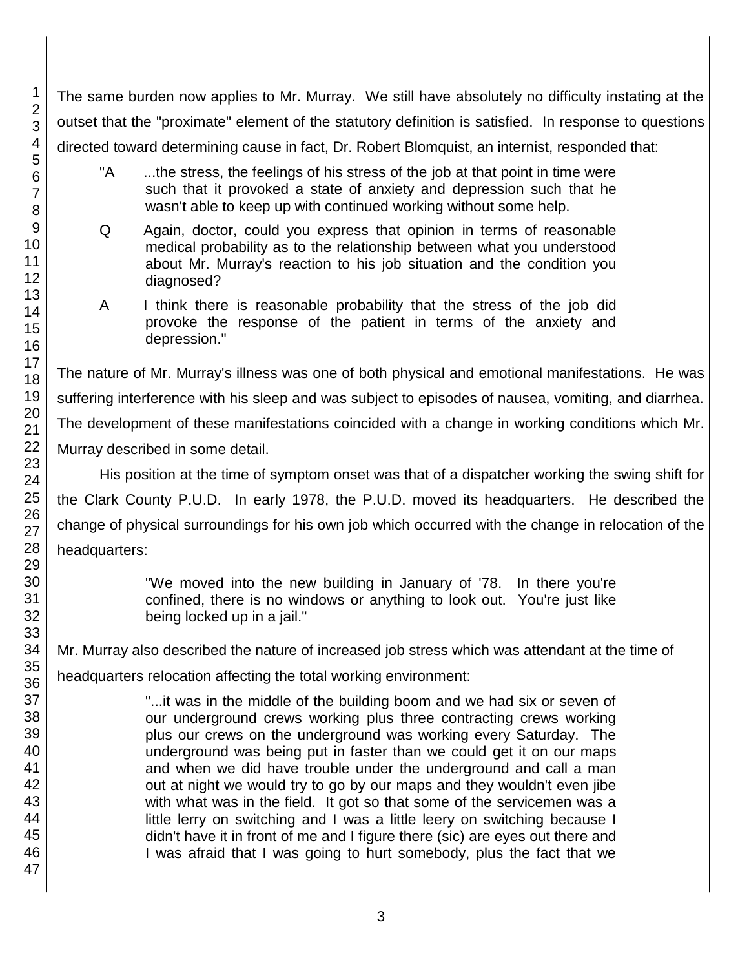The same burden now applies to Mr. Murray. We still have absolutely no difficulty instating at the outset that the "proximate" element of the statutory definition is satisfied. In response to questions directed toward determining cause in fact, Dr. Robert Blomquist, an internist, responded that:

- "A ...the stress, the feelings of his stress of the job at that point in time were such that it provoked a state of anxiety and depression such that he wasn't able to keep up with continued working without some help.
- Q Again, doctor, could you express that opinion in terms of reasonable medical probability as to the relationship between what you understood about Mr. Murray's reaction to his job situation and the condition you diagnosed?
- A I think there is reasonable probability that the stress of the job did provoke the response of the patient in terms of the anxiety and depression."

The nature of Mr. Murray's illness was one of both physical and emotional manifestations. He was suffering interference with his sleep and was subject to episodes of nausea, vomiting, and diarrhea. The development of these manifestations coincided with a change in working conditions which Mr. Murray described in some detail.

His position at the time of symptom onset was that of a dispatcher working the swing shift for the Clark County P.U.D. In early 1978, the P.U.D. moved its headquarters. He described the change of physical surroundings for his own job which occurred with the change in relocation of the headquarters:

> "We moved into the new building in January of '78. In there you're confined, there is no windows or anything to look out. You're just like being locked up in a jail."

Mr. Murray also described the nature of increased job stress which was attendant at the time of

headquarters relocation affecting the total working environment:

"...it was in the middle of the building boom and we had six or seven of our underground crews working plus three contracting crews working plus our crews on the underground was working every Saturday. The underground was being put in faster than we could get it on our maps and when we did have trouble under the underground and call a man out at night we would try to go by our maps and they wouldn't even jibe with what was in the field. It got so that some of the servicemen was a little lerry on switching and I was a little leery on switching because I didn't have it in front of me and I figure there (sic) are eyes out there and I was afraid that I was going to hurt somebody, plus the fact that we

1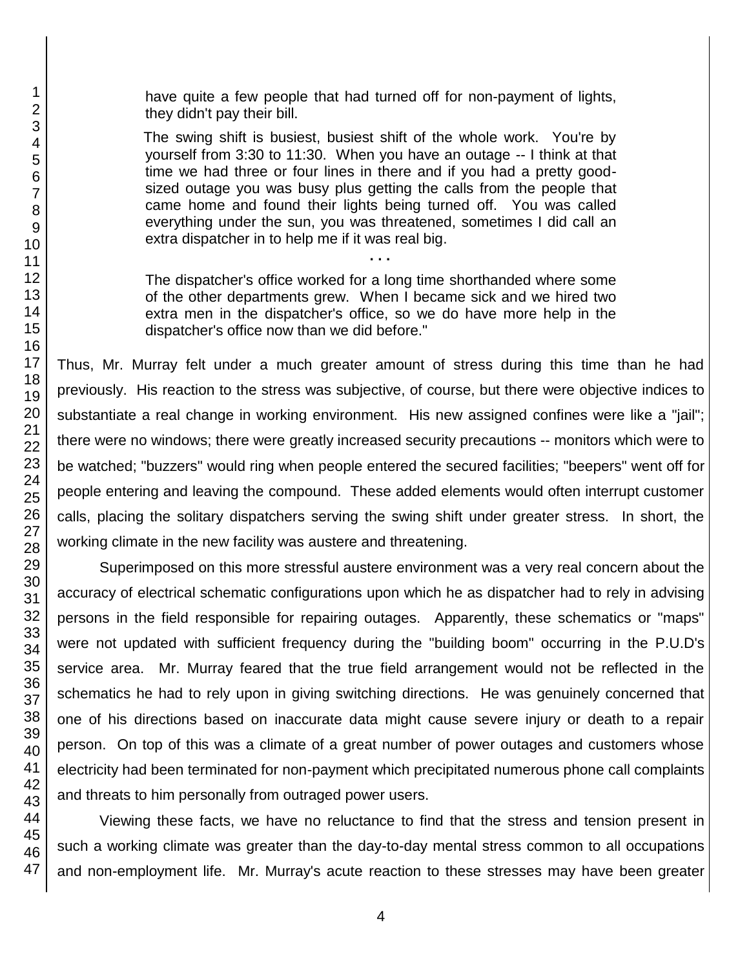have quite a few people that had turned off for non-payment of lights, they didn't pay their bill.

The swing shift is busiest, busiest shift of the whole work. You're by yourself from 3:30 to 11:30. When you have an outage -- I think at that time we had three or four lines in there and if you had a pretty goodsized outage you was busy plus getting the calls from the people that came home and found their lights being turned off. You was called everything under the sun, you was threatened, sometimes I did call an extra dispatcher in to help me if it was real big.

The dispatcher's office worked for a long time shorthanded where some of the other departments grew. When I became sick and we hired two extra men in the dispatcher's office, so we do have more help in the dispatcher's office now than we did before."

**. . .**

Thus, Mr. Murray felt under a much greater amount of stress during this time than he had previously. His reaction to the stress was subjective, of course, but there were objective indices to substantiate a real change in working environment. His new assigned confines were like a "jail"; there were no windows; there were greatly increased security precautions -- monitors which were to be watched; "buzzers" would ring when people entered the secured facilities; "beepers" went off for people entering and leaving the compound. These added elements would often interrupt customer calls, placing the solitary dispatchers serving the swing shift under greater stress. In short, the working climate in the new facility was austere and threatening.

Superimposed on this more stressful austere environment was a very real concern about the accuracy of electrical schematic configurations upon which he as dispatcher had to rely in advising persons in the field responsible for repairing outages. Apparently, these schematics or "maps" were not updated with sufficient frequency during the "building boom" occurring in the P.U.D's service area. Mr. Murray feared that the true field arrangement would not be reflected in the schematics he had to rely upon in giving switching directions. He was genuinely concerned that one of his directions based on inaccurate data might cause severe injury or death to a repair person. On top of this was a climate of a great number of power outages and customers whose electricity had been terminated for non-payment which precipitated numerous phone call complaints and threats to him personally from outraged power users.

Viewing these facts, we have no reluctance to find that the stress and tension present in such a working climate was greater than the day-to-day mental stress common to all occupations and non-employment life. Mr. Murray's acute reaction to these stresses may have been greater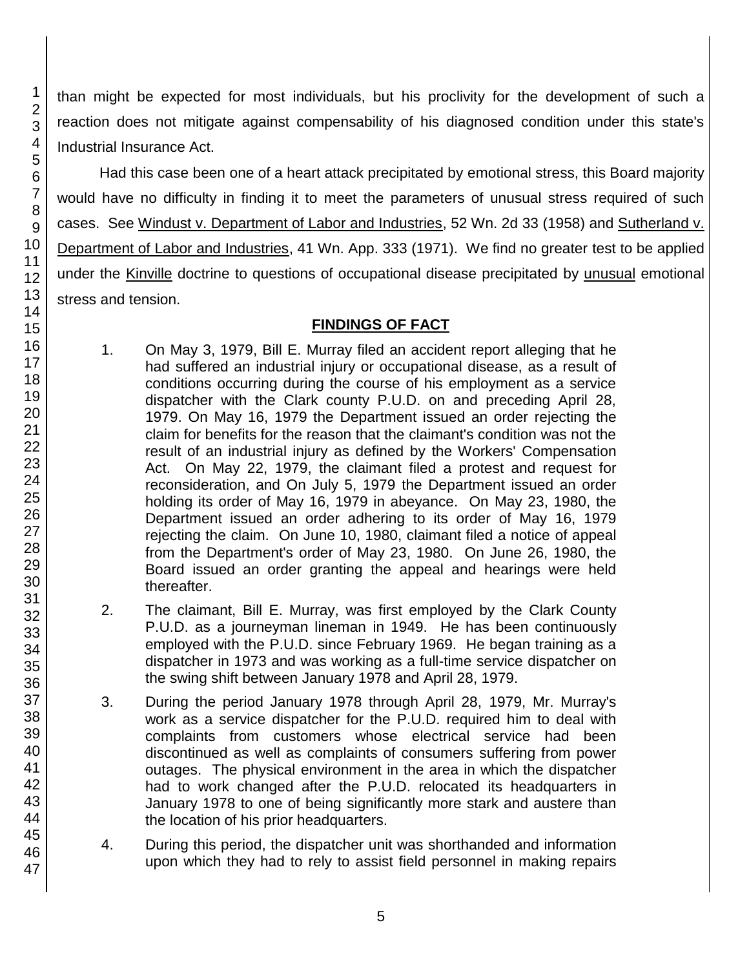than might be expected for most individuals, but his proclivity for the development of such a reaction does not mitigate against compensability of his diagnosed condition under this state's Industrial Insurance Act.

Had this case been one of a heart attack precipitated by emotional stress, this Board majority would have no difficulty in finding it to meet the parameters of unusual stress required of such cases. See Windust v. Department of Labor and Industries, 52 Wn. 2d 33 (1958) and Sutherland v. Department of Labor and Industries, 41 Wn. App. 333 (1971). We find no greater test to be applied under the Kinville doctrine to questions of occupational disease precipitated by unusual emotional stress and tension.

#### **FINDINGS OF FACT**

- 1. On May 3, 1979, Bill E. Murray filed an accident report alleging that he had suffered an industrial injury or occupational disease, as a result of conditions occurring during the course of his employment as a service dispatcher with the Clark county P.U.D. on and preceding April 28, 1979. On May 16, 1979 the Department issued an order rejecting the claim for benefits for the reason that the claimant's condition was not the result of an industrial injury as defined by the Workers' Compensation Act. On May 22, 1979, the claimant filed a protest and request for reconsideration, and On July 5, 1979 the Department issued an order holding its order of May 16, 1979 in abeyance. On May 23, 1980, the Department issued an order adhering to its order of May 16, 1979 rejecting the claim. On June 10, 1980, claimant filed a notice of appeal from the Department's order of May 23, 1980. On June 26, 1980, the Board issued an order granting the appeal and hearings were held thereafter.
- 2. The claimant, Bill E. Murray, was first employed by the Clark County P.U.D. as a journeyman lineman in 1949. He has been continuously employed with the P.U.D. since February 1969. He began training as a dispatcher in 1973 and was working as a full-time service dispatcher on the swing shift between January 1978 and April 28, 1979.
- 3. During the period January 1978 through April 28, 1979, Mr. Murray's work as a service dispatcher for the P.U.D. required him to deal with complaints from customers whose electrical service had been discontinued as well as complaints of consumers suffering from power outages. The physical environment in the area in which the dispatcher had to work changed after the P.U.D. relocated its headquarters in January 1978 to one of being significantly more stark and austere than the location of his prior headquarters.
- 4. During this period, the dispatcher unit was shorthanded and information upon which they had to rely to assist field personnel in making repairs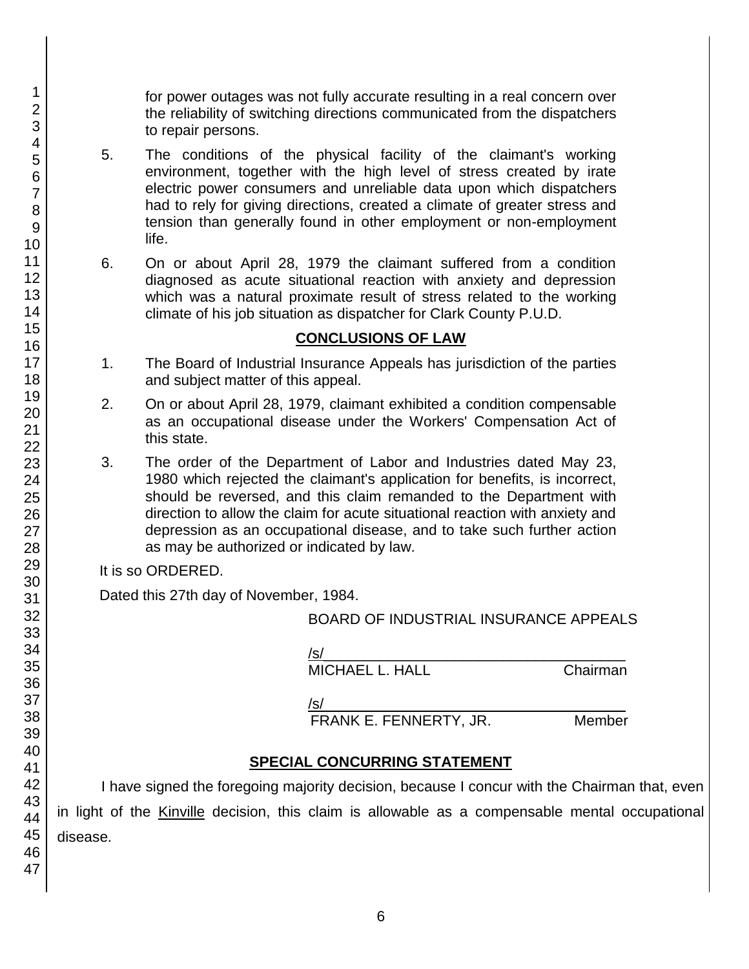for power outages was not fully accurate resulting in a real concern over the reliability of switching directions communicated from the dispatchers to repair persons.

- 5. The conditions of the physical facility of the claimant's working environment, together with the high level of stress created by irate electric power consumers and unreliable data upon which dispatchers had to rely for giving directions, created a climate of greater stress and tension than generally found in other employment or non-employment life.
- 6. On or about April 28, 1979 the claimant suffered from a condition diagnosed as acute situational reaction with anxiety and depression which was a natural proximate result of stress related to the working climate of his job situation as dispatcher for Clark County P.U.D.

#### **CONCLUSIONS OF LAW**

- 1. The Board of Industrial Insurance Appeals has jurisdiction of the parties and subject matter of this appeal.
- 2. On or about April 28, 1979, claimant exhibited a condition compensable as an occupational disease under the Workers' Compensation Act of this state.
- 3. The order of the Department of Labor and Industries dated May 23, 1980 which rejected the claimant's application for benefits, is incorrect, should be reversed, and this claim remanded to the Department with direction to allow the claim for acute situational reaction with anxiety and depression as an occupational disease, and to take such further action as may be authorized or indicated by law.

| as may be authorized or indicated by law.                                                                   |  |
|-------------------------------------------------------------------------------------------------------------|--|
| It is so ORDERED.                                                                                           |  |
| Dated this 27th day of November, 1984.                                                                      |  |
| BOARD OF INDUSTRIAL INSURANCE APPEALS                                                                       |  |
| /s/<br><b>MICHAEL L. HALL</b><br>Chairman                                                                   |  |
| /s/<br>FRANK E. FENNERTY, JR.<br>Member                                                                     |  |
| <b>SPECIAL CONCURRING STATEMENT</b>                                                                         |  |
| I have signed the foregoing majority decision, because I concur with the Chairman that, even                |  |
| in light of the Kinville decision, this claim is allowable as a compensable mental occupational<br>disease. |  |
|                                                                                                             |  |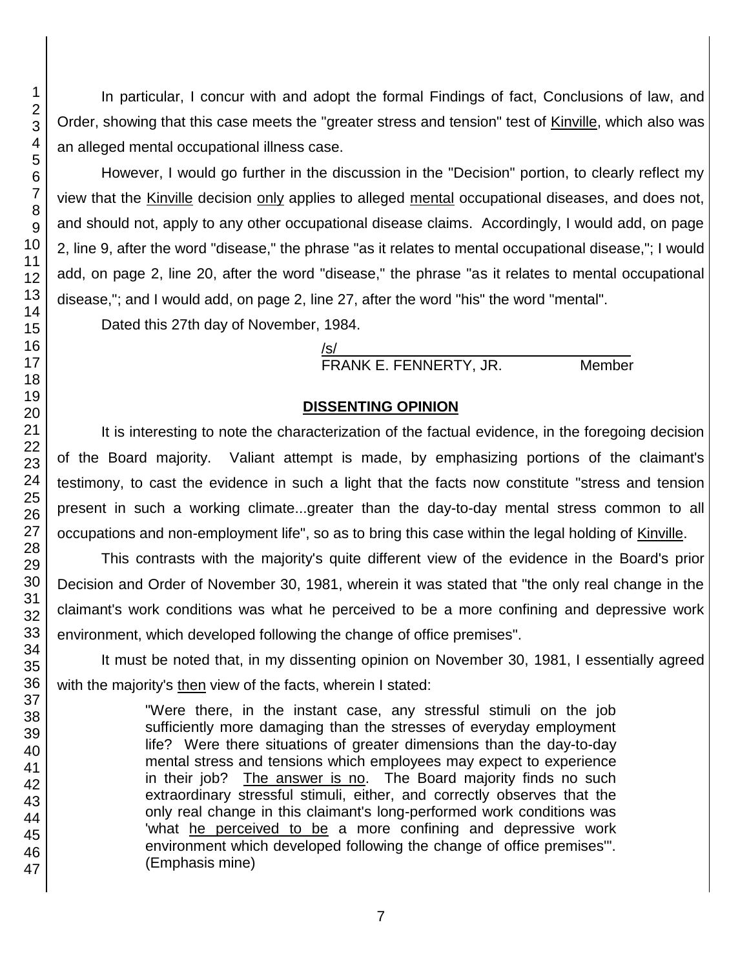In particular, I concur with and adopt the formal Findings of fact, Conclusions of law, and Order, showing that this case meets the "greater stress and tension" test of Kinville, which also was an alleged mental occupational illness case.

However, I would go further in the discussion in the "Decision" portion, to clearly reflect my view that the Kinville decision only applies to alleged mental occupational diseases, and does not, and should not, apply to any other occupational disease claims. Accordingly, I would add, on page 2, line 9, after the word "disease," the phrase "as it relates to mental occupational disease,"; I would add, on page 2, line 20, after the word "disease," the phrase "as it relates to mental occupational disease,"; and I would add, on page 2, line 27, after the word "his" the word "mental".

Dated this 27th day of November, 1984.

/s/\_\_\_\_\_\_\_\_\_\_\_\_\_\_\_\_\_\_\_\_\_\_\_\_\_\_\_\_\_\_\_\_\_\_\_\_ FRANK E. FENNERTY, JR. Member

## **DISSENTING OPINION**

It is interesting to note the characterization of the factual evidence, in the foregoing decision of the Board majority. Valiant attempt is made, by emphasizing portions of the claimant's testimony, to cast the evidence in such a light that the facts now constitute "stress and tension present in such a working climate...greater than the day-to-day mental stress common to all occupations and non-employment life", so as to bring this case within the legal holding of Kinville.

This contrasts with the majority's quite different view of the evidence in the Board's prior Decision and Order of November 30, 1981, wherein it was stated that "the only real change in the claimant's work conditions was what he perceived to be a more confining and depressive work environment, which developed following the change of office premises".

It must be noted that, in my dissenting opinion on November 30, 1981, I essentially agreed with the majority's then view of the facts, wherein I stated:

> "Were there, in the instant case, any stressful stimuli on the job sufficiently more damaging than the stresses of everyday employment life? Were there situations of greater dimensions than the day-to-day mental stress and tensions which employees may expect to experience in their job? The answer is no. The Board majority finds no such extraordinary stressful stimuli, either, and correctly observes that the only real change in this claimant's long-performed work conditions was 'what he perceived to be a more confining and depressive work environment which developed following the change of office premises'". (Emphasis mine)